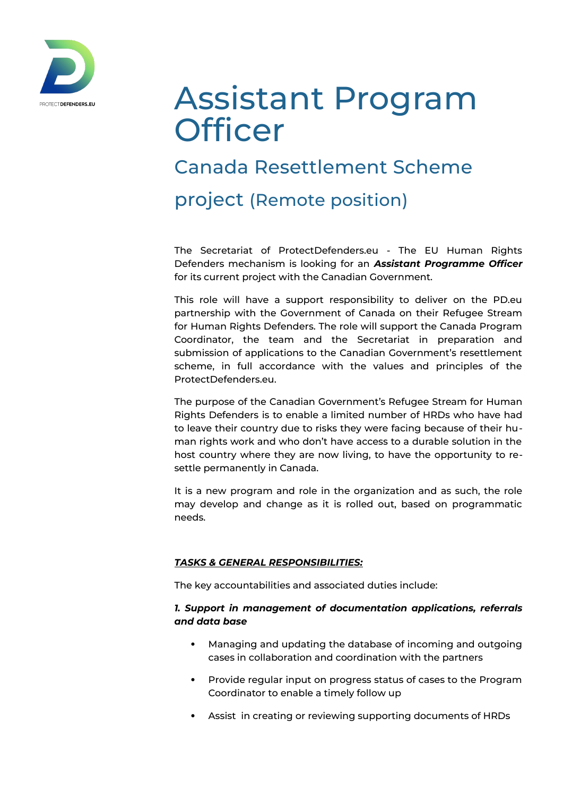

# Assistant Program **Officer**

# Canada Resettlement Scheme

project (Remote position)

The Secretariat of ProtectDefenders.eu - The EU Human Rights Defenders mechanism is looking for an *Assistant Programme Officer* for its current project with the Canadian Government.

This role will have a support responsibility to deliver on the PD.eu partnership with the Government of Canada on their Refugee Stream for Human Rights Defenders. The role will support the Canada Program Coordinator, the team and the Secretariat in preparation and submission of applications to the Canadian Government's resettlement scheme, in full accordance with the values and principles of the ProtectDefenders.eu.

The purpose of the Canadian Government's Refugee Stream for Human Rights Defenders is to enable a limited number of HRDs who have had to leave their country due to risks they were facing because of their human rights work and who don't have access to a durable solution in the host country where they are now living, to have the opportunity to resettle permanently in Canada.

It is a new program and role in the organization and as such, the role may develop and change as it is rolled out, based on programmatic needs.

# *TASKS & GENERAL RESPONSIBILITIES:*

The key accountabilities and associated duties include:

# *1. Support in management of documentation applications, referrals and data base*

- Managing and updating the database of incoming and outgoing cases in collaboration and coordination with the partners
- Provide regular input on progress status of cases to the Program Coordinator to enable a timely follow up
- Assist in creating or reviewing supporting documents of HRDs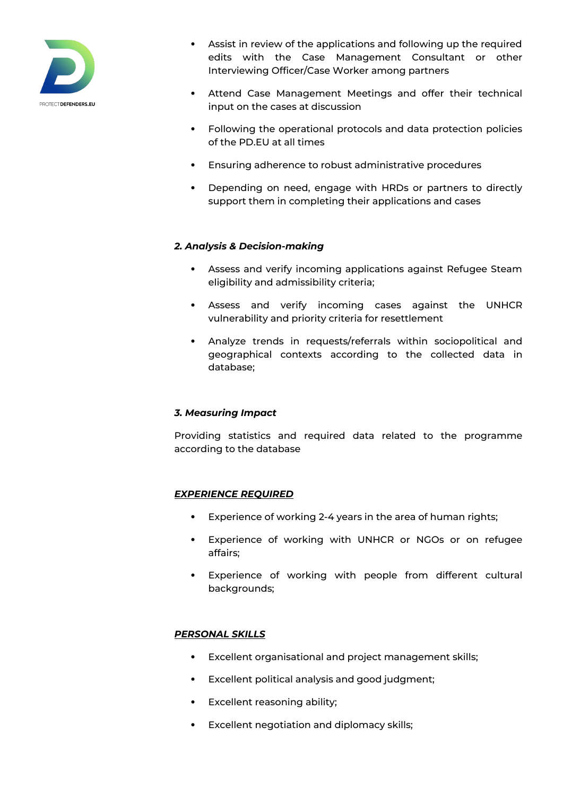

- Assist in review of the applications and following up the required edits with the Case Management Consultant or other Interviewing Officer/Case Worker among partners
- Attend Case Management Meetings and offer their technical input on the cases at discussion
- Following the operational protocols and data protection policies of the PD.EU at all times
- Ensuring adherence to robust administrative procedures
- Depending on need, engage with HRDs or partners to directly support them in completing their applications and cases

#### *2. Analysis & Decision-making*

- Assess and verify incoming applications against Refugee Steam eligibility and admissibility criteria;
- Assess and verify incoming cases against the UNHCR vulnerability and priority criteria for resettlement
- Analyze trends in requests/referrals within sociopolitical and geographical contexts according to the collected data in database;

#### *3. Measuring Impact*

Providing statistics and required data related to the programme according to the database

#### *EXPERIENCE REQUIRED*

- Experience of working 2-4 years in the area of human rights;
- Experience of working with UNHCR or NGOs or on refugee affairs;
- Experience of working with people from different cultural backgrounds:

# *PERSONAL SKILLS*

- Excellent organisational and project management skills;
- Excellent political analysis and good judgment;
- Excellent reasoning ability;
- Excellent negotiation and diplomacy skills;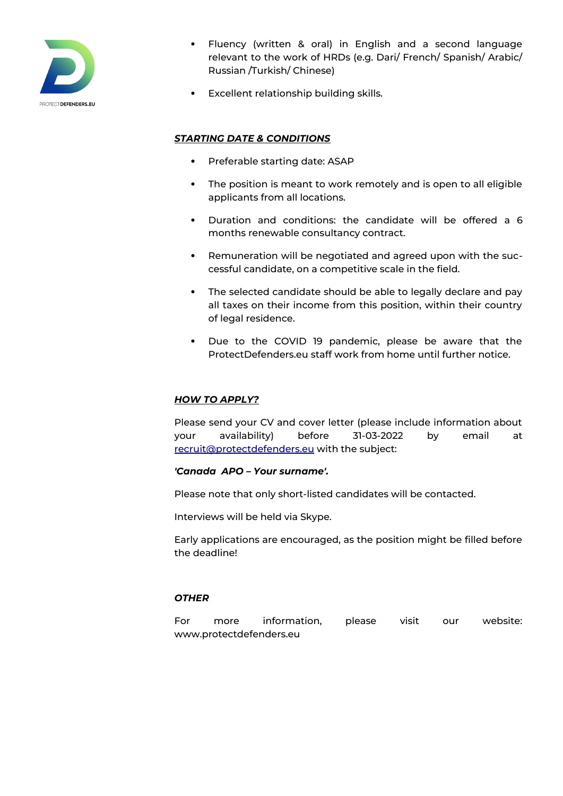

- Fluency (written & oral) in English and a second language relevant to the work of HRDs (e.g. Dari/ French/ Spanish/ Arabic/ Russian /Turkish/ Chinese)
- Excellent relationship building skills.

## *STARTING DATE & CONDITIONS*

- Preferable starting date: ASAP
- The position is meant to work remotely and is open to all eligible applicants from all locations.
- Duration and conditions: the candidate will be offered a 6 months renewable consultancy contract.
- Remuneration will be negotiated and agreed upon with the successful candidate, on a competitive scale in the field.
- The selected candidate should be able to legally declare and pay all taxes on their income from this position, within their country of legal residence.
- Due to the COVID 19 pandemic, please be aware that the ProtectDefenders.eu staff work from home until further notice.

#### *HOW TO APPLY?*

Please send your CV and cover letter (please include information about your availability) before 31-03-2022 by email at [recruit@protectdefenders.eu](mailto:recruit@protectdefenders.eu) with the subject:

#### *'Canada APO – Your surname'.*

Please note that only short-listed candidates will be contacted.

Interviews will be held via Skype.

Early applications are encouraged, as the position might be filled before the deadline!

#### *OTHER*

For more information, please visit our website: www.protectdefenders.eu